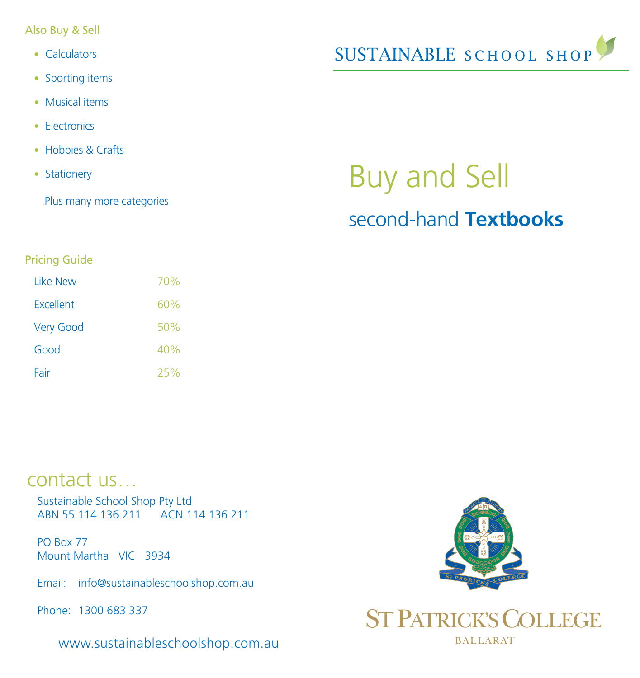Also Buy & Sell

- Calculators
- Sporting items
- Musical items
- Electronics
- Hobbies & Crafts
- Stationery

Plus many more categories



# Buy and Sell second-hand **Textbooks**

#### Pricing Guide

| l ike New        | 70% |
|------------------|-----|
| <b>Excellent</b> | 60% |
| <b>Very Good</b> | 50% |
| Good             | 40% |
| Fair             | 25% |

## contact us…

Sustainable School Shop Pty Ltd ABN 55 114 136 211 ACN 114 136 211

PO Box 77 Mount Martha VIC 3934

Email: info@sustainableschoolshop.com.au

Phone: 1300 683 337

www.sustainableschoolshop.com.au